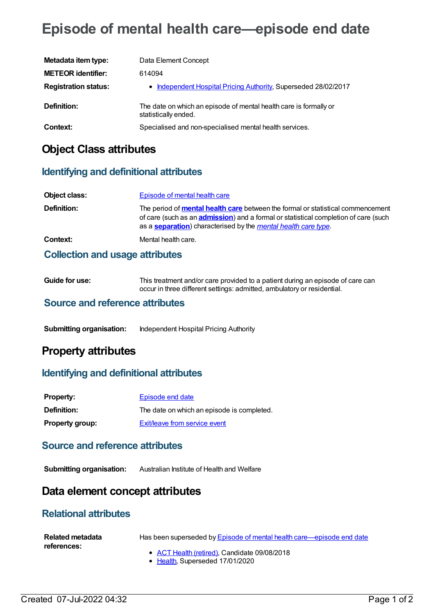# **Episode of mental health care—episode end date**

| Metadata item type:         | Data Element Concept                                                                      |
|-----------------------------|-------------------------------------------------------------------------------------------|
| <b>METEOR identifier:</b>   | 614094                                                                                    |
| <b>Registration status:</b> | • Independent Hospital Pricing Authority, Superseded 28/02/2017                           |
| Definition:                 | The date on which an episode of mental health care is formally or<br>statistically ended. |
| Context:                    | Specialised and non-specialised mental health services.                                   |

### **Object Class attributes**

### **Identifying and definitional attributes**

| Object class:                          | Episode of mental health care                                                                                                                                                                                                                                           |  |
|----------------------------------------|-------------------------------------------------------------------------------------------------------------------------------------------------------------------------------------------------------------------------------------------------------------------------|--|
| Definition:                            | The period of <b>mental health care</b> between the formal or statistical commencement<br>of care (such as an <b>admission</b> ) and a formal or statistical completion of care (such<br>as a <b>separation</b> ) characterised by the <i>mental health care type</i> . |  |
| Context:                               | Mental health care.                                                                                                                                                                                                                                                     |  |
| <b>Collection and usage attributes</b> |                                                                                                                                                                                                                                                                         |  |

| Guide for use: | This treatment and/or care provided to a patient during an episode of care can |
|----------------|--------------------------------------------------------------------------------|
|                | occur in three different settings: admitted, ambulatory or residential.        |

### **Source and reference attributes**

**Submitting organisation:** Independent Hospital Pricing Authority

## **Property attributes**

### **Identifying and definitional attributes**

| <b>Property:</b>       | Episode end date                           |
|------------------------|--------------------------------------------|
| <b>Definition:</b>     | The date on which an episode is completed. |
| <b>Property group:</b> | Exit/leave from service event              |

### **Source and reference attributes**

**Submitting organisation:** Australian Institute of Health and Welfare

### **Data element concept attributes**

### **Relational attributes**

| <b>Related metadata</b> | Has been superseded by Episode of mental health care—episode end date |
|-------------------------|-----------------------------------------------------------------------|
| references:             | • ACT Health (retired), Candidate 09/08/2018                          |
|                         | • Health, Superseded 17/01/2020                                       |